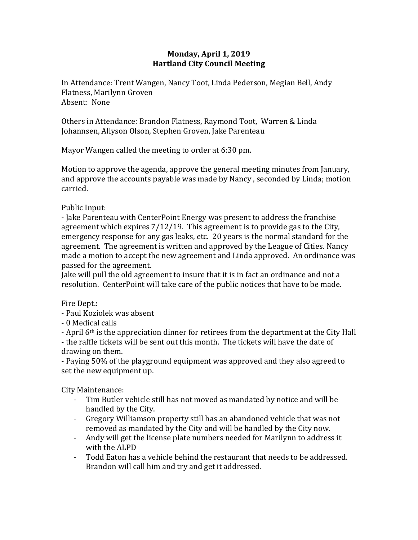## **Monday, April 1, 2019 Hartland City Council Meeting**

In Attendance: Trent Wangen, Nancy Toot, Linda Pederson, Megian Bell, Andy Flatness, Marilynn Groven Absent: None

Others in Attendance: Brandon Flatness, Raymond Toot, Warren & Linda Johannsen, Allyson Olson, Stephen Groven, Jake Parenteau

Mayor Wangen called the meeting to order at 6:30 pm.

Motion to approve the agenda, approve the general meeting minutes from January, and approve the accounts payable was made by Nancy , seconded by Linda; motion carried.

Public Input:

- Jake Parenteau with CenterPoint Energy was present to address the franchise agreement which expires 7/12/19. This agreement is to provide gas to the City, emergency response for any gas leaks, etc. 20 years is the normal standard for the agreement. The agreement is written and approved by the League of Cities. Nancy made a motion to accept the new agreement and Linda approved. An ordinance was passed for the agreement.

Jake will pull the old agreement to insure that it is in fact an ordinance and not a resolution. CenterPoint will take care of the public notices that have to be made.

Fire Dept.:

- Paul Koziolek was absent

- 0 Medical calls

- April 6th is the appreciation dinner for retirees from the department at the City Hall - the raffle tickets will be sent out this month. The tickets will have the date of

drawing on them.

- Paying 50% of the playground equipment was approved and they also agreed to set the new equipment up.

City Maintenance:

- Tim Butler vehicle still has not moved as mandated by notice and will be handled by the City.
- Gregory Williamson property still has an abandoned vehicle that was not removed as mandated by the City and will be handled by the City now.
- Andy will get the license plate numbers needed for Marilynn to address it with the ALPD
- Todd Eaton has a vehicle behind the restaurant that needs to be addressed. Brandon will call him and try and get it addressed.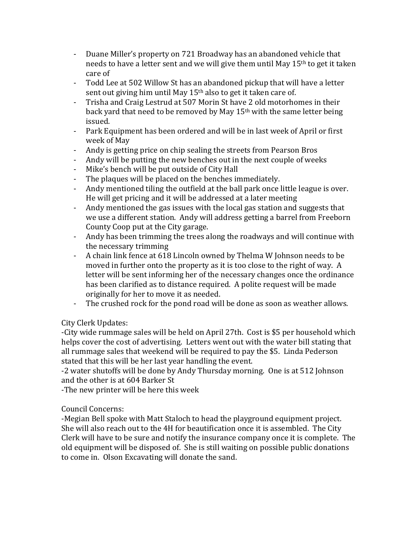- Duane Miller's property on 721 Broadway has an abandoned vehicle that needs to have a letter sent and we will give them until May 15th to get it taken care of
- Todd Lee at 502 Willow St has an abandoned pickup that will have a letter sent out giving him until May 15<sup>th</sup> also to get it taken care of.
- Trisha and Craig Lestrud at 507 Morin St have 2 old motorhomes in their back yard that need to be removed by May 15th with the same letter being issued.
- Park Equipment has been ordered and will be in last week of April or first week of May
- Andy is getting price on chip sealing the streets from Pearson Bros
- Andy will be putting the new benches out in the next couple of weeks
- Mike's bench will be put outside of City Hall
- The plaques will be placed on the benches immediately.
- Andy mentioned tiling the outfield at the ball park once little league is over. He will get pricing and it will be addressed at a later meeting
- Andy mentioned the gas issues with the local gas station and suggests that we use a different station. Andy will address getting a barrel from Freeborn County Coop put at the City garage.
- Andy has been trimming the trees along the roadways and will continue with the necessary trimming
- A chain link fence at 618 Lincoln owned by Thelma W Johnson needs to be moved in further onto the property as it is too close to the right of way. A letter will be sent informing her of the necessary changes once the ordinance has been clarified as to distance required. A polite request will be made originally for her to move it as needed.
- The crushed rock for the pond road will be done as soon as weather allows.

## City Clerk Updates:

-City wide rummage sales will be held on April 27th. Cost is \$5 per household which helps cover the cost of advertising. Letters went out with the water bill stating that all rummage sales that weekend will be required to pay the \$5. Linda Pederson stated that this will be her last year handling the event.

-2 water shutoffs will be done by Andy Thursday morning. One is at 512 Johnson and the other is at 604 Barker St

-The new printer will be here this week

## Council Concerns:

-Megian Bell spoke with Matt Staloch to head the playground equipment project. She will also reach out to the 4H for beautification once it is assembled. The City Clerk will have to be sure and notify the insurance company once it is complete. The old equipment will be disposed of. She is still waiting on possible public donations to come in. Olson Excavating will donate the sand.